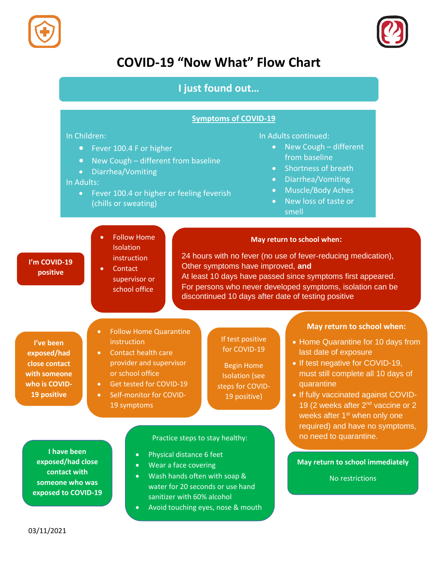



# **COVID-19 "Now What" Flow Chart**

# **I just found out…**

## **Symptoms of COVID-19**

### In Children:

- Fever 100.4 F or higher
- New Cough different from baseline
- Diarrhea/Vomiting

## In Adults:

**I'm COVID-19 positive**

**I've been exposed/had close contact with someone who is COVID-19 positive**

• Fever 100.4 or higher or feeling feverish (chills or sweating)

#### In Adults continued:

- New Cough different from baseline
- Shortness of breath
- Diarrhea/Vomiting
- Muscle/Body Aches
- New loss of taste or smell

# Follow Home **Isolation** instruction

• Contact supervisor or school office

 24 hours with no fever (no use of fever-reducing medication), Other symptoms have improved, **and** At least 10 days have passed since symptoms first appeared. For persons who never developed symptoms, isolation can be discontinued 10 days after date of testing positive

**May return to school when:**

# Follow Home Quarantine **instruction**

19 symptoms

- Contact health care provider and supervisor or school office
- Get tested for COVID-19 Self-monitor for COVID-

### If test positive for COVID-19

Begin Home Isolation (see steps for COVID-19 positive)

# **May return to school when:**

- Home Quarantine for 10 days from last date of exposure
- If test negative for COVID-19, must still complete all 10 days of quarantine
- If fully vaccinated against COVID-19 (2 weeks after 2<sup>nd</sup> vaccine or 2 weeks after 1<sup>st</sup> when only one required) and have no symptoms, Practice steps to stay healthy: no need to quarantine.

**May return to school immediately**

No restrictions

**I have been exposed/had close contact with someone who was exposed to COVID-19**

- 
- Physical distance 6 feet Wear a face covering
- Wash hands often with soap & water for 20 seconds or use hand sanitizer with 60% alcohol
- Avoid touching eyes, nose & mouth